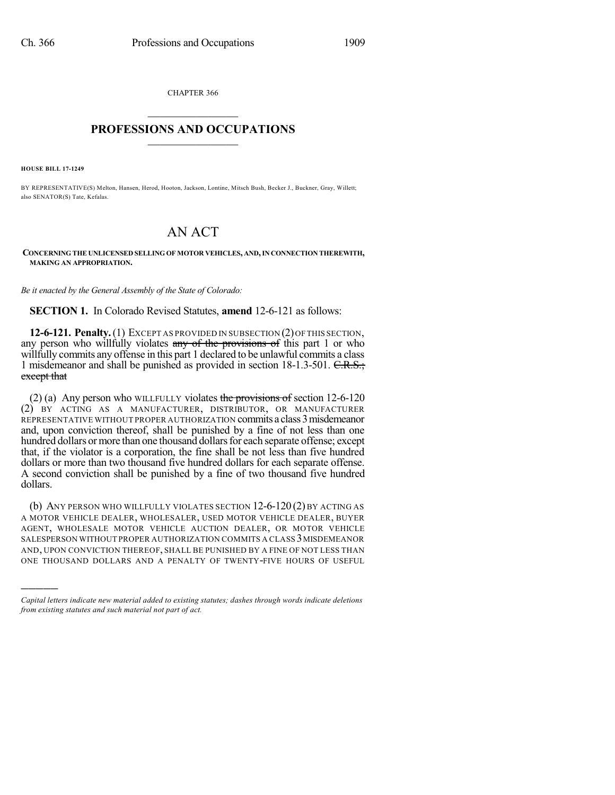CHAPTER 366  $\mathcal{L}_\text{max}$  . The set of the set of the set of the set of the set of the set of the set of the set of the set of the set of the set of the set of the set of the set of the set of the set of the set of the set of the set

## **PROFESSIONS AND OCCUPATIONS**  $\frac{1}{2}$  ,  $\frac{1}{2}$  ,  $\frac{1}{2}$  ,  $\frac{1}{2}$  ,  $\frac{1}{2}$  ,  $\frac{1}{2}$  ,  $\frac{1}{2}$

**HOUSE BILL 17-1249**

)))))

BY REPRESENTATIVE(S) Melton, Hansen, Herod, Hooton, Jackson, Lontine, Mitsch Bush, Becker J., Buckner, Gray, Willett; also SENATOR(S) Tate, Kefalas.

## AN ACT

**CONCERNING THE UNLICENSED SELLING OF MOTOR VEHICLES, AND,IN CONNECTION THEREWITH, MAKING AN APPROPRIATION.**

*Be it enacted by the General Assembly of the State of Colorado:*

**SECTION 1.** In Colorado Revised Statutes, **amend** 12-6-121 as follows:

**12-6-121. Penalty.**(1) EXCEPT AS PROVIDED IN SUBSECTION (2)OFTHIS SECTION, any person who willfully violates any of the provisions of this part 1 or who willfully commits any offense in this part 1 declared to be unlawful commits a class 1 misdemeanor and shall be punished as provided in section 18-1.3-501. C.R.S.; except that

(2) (a) Any person who WILLFULLY violates the provisions of section  $12{\text -}6{\text -}120$ (2) BY ACTING AS A MANUFACTURER, DISTRIBUTOR, OR MANUFACTURER REPRESENTATIVE WITHOUT PROPER AUTHORIZATION commits a class 3 misdemeanor and, upon conviction thereof, shall be punished by a fine of not less than one hundred dollars or more than one thousand dollars for each separate offense; except that, if the violator is a corporation, the fine shall be not less than five hundred dollars or more than two thousand five hundred dollars for each separate offense. A second conviction shall be punished by a fine of two thousand five hundred dollars.

(b) ANY PERSON WHO WILLFULLY VIOLATES SECTION 12-6-120 (2) BY ACTING AS A MOTOR VEHICLE DEALER, WHOLESALER, USED MOTOR VEHICLE DEALER, BUYER AGENT, WHOLESALE MOTOR VEHICLE AUCTION DEALER, OR MOTOR VEHICLE SALESPERSON WITHOUT PROPER AUTHORIZATION COMMITS A CLASS 3MISDEMEANOR AND, UPON CONVICTION THEREOF, SHALL BE PUNISHED BY A FINE OF NOT LESS THAN ONE THOUSAND DOLLARS AND A PENALTY OF TWENTY-FIVE HOURS OF USEFUL

*Capital letters indicate new material added to existing statutes; dashes through words indicate deletions from existing statutes and such material not part of act.*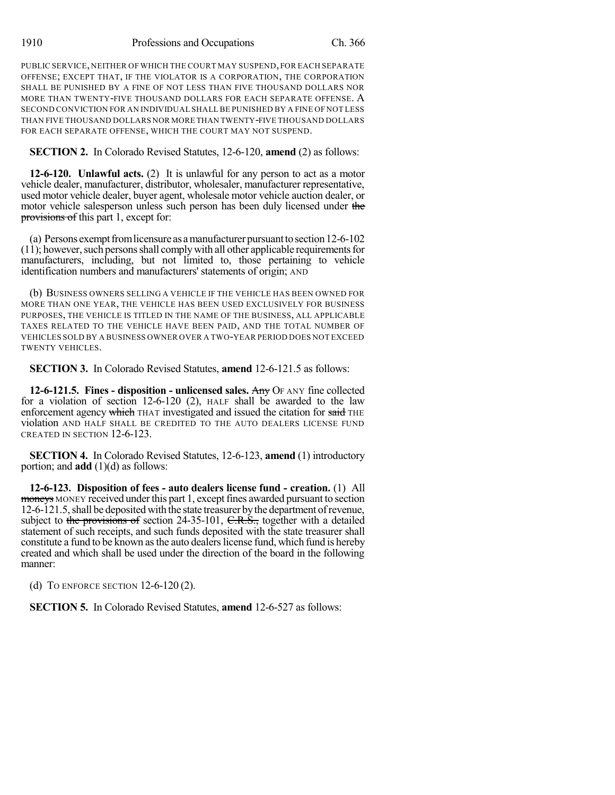PUBLIC SERVICE, NEITHER OF WHICH THE COURT MAY SUSPEND,FOR EACH SEPARATE OFFENSE; EXCEPT THAT, IF THE VIOLATOR IS A CORPORATION, THE CORPORATION SHALL BE PUNISHED BY A FINE OF NOT LESS THAN FIVE THOUSAND DOLLARS NOR MORE THAN TWENTY-FIVE THOUSAND DOLLARS FOR EACH SEPARATE OFFENSE. A SECOND CONVICTION FOR AN INDIVIDUAL SHALL BE PUNISHED BY A FINE OF NOT LESS THAN FIVE THOUSAND DOLLARS NOR MORE THAN TWENTY-FIVE THOUSAND DOLLARS FOR EACH SEPARATE OFFENSE, WHICH THE COURT MAY NOT SUSPEND.

**SECTION 2.** In Colorado Revised Statutes, 12-6-120, **amend** (2) as follows:

**12-6-120. Unlawful acts.** (2) It is unlawful for any person to act as a motor vehicle dealer, manufacturer, distributor, wholesaler, manufacturer representative, used motor vehicle dealer, buyer agent, wholesale motor vehicle auction dealer, or motor vehicle salesperson unless such person has been duly licensed under the provisions of this part 1, except for:

(a) Persons exempt from licensure as a manufacturer pursuant to section  $12-6-102$  $(11)$ ; however, such persons shall comply with all other applicable requirements for manufacturers, including, but not limited to, those pertaining to vehicle identification numbers and manufacturers' statements of origin; AND

(b) BUSINESS OWNERS SELLING A VEHICLE IF THE VEHICLE HAS BEEN OWNED FOR MORE THAN ONE YEAR, THE VEHICLE HAS BEEN USED EXCLUSIVELY FOR BUSINESS PURPOSES, THE VEHICLE IS TITLED IN THE NAME OF THE BUSINESS, ALL APPLICABLE TAXES RELATED TO THE VEHICLE HAVE BEEN PAID, AND THE TOTAL NUMBER OF VEHICLES SOLD BY A BUSINESS OWNER OVER A TWO-YEAR PERIOD DOES NOT EXCEED TWENTY VEHICLES.

**SECTION 3.** In Colorado Revised Statutes, **amend** 12-6-121.5 as follows:

**12-6-121.5. Fines - disposition - unlicensed sales.** Any OF ANY fine collected for a violation of section 12-6-120 (2), HALF shall be awarded to the law enforcement agency which THAT investigated and issued the citation for said THE violation AND HALF SHALL BE CREDITED TO THE AUTO DEALERS LICENSE FUND CREATED IN SECTION 12-6-123.

**SECTION 4.** In Colorado Revised Statutes, 12-6-123, **amend** (1) introductory portion; and **add** (1)(d) as follows:

**12-6-123. Disposition of fees - auto dealers license fund - creation.** (1) All moneys MONEY received under this part 1, except fines awarded pursuant to section 12-6-121.5, shall be deposited with the state treasurer by the department of revenue, subject to the provisions of section 24-35-101,  $C.R.S.,$  together with a detailed statement of such receipts, and such funds deposited with the state treasurer shall constitute a fund to be known asthe auto dealerslicense fund, which fund is hereby created and which shall be used under the direction of the board in the following manner:

(d) TO ENFORCE SECTION 12-6-120 (2).

**SECTION 5.** In Colorado Revised Statutes, **amend** 12-6-527 as follows: